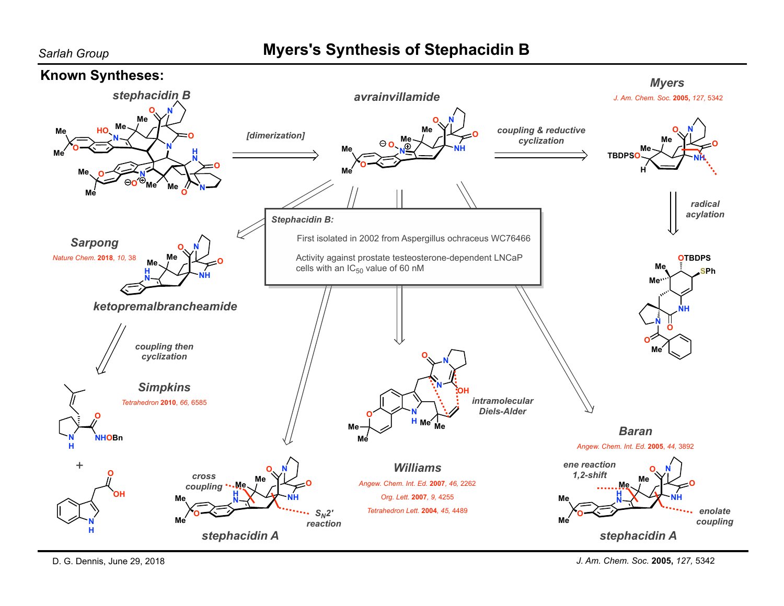## **Myers's Synthesis of Stephacidin B**



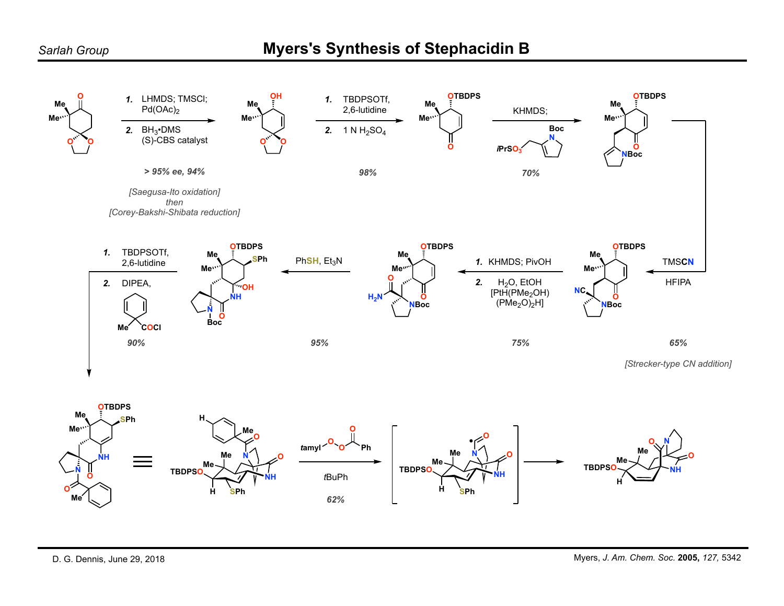